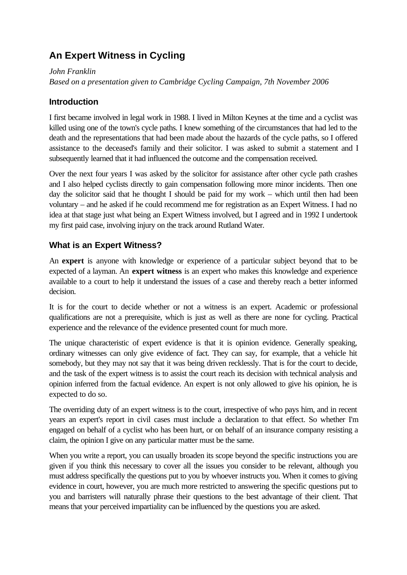# **An Expert Witness in Cycling**

*John Franklin Based on a presentation given to Cambridge Cycling Campaign, 7th November 2006*

#### **Introduction**

I first became involved in legal work in 1988. I lived in Milton Keynes at the time and a cyclist was killed using one of the town's cycle paths. I knew something of the circumstances that had led to the death and the representations that had been made about the hazards of the cycle paths, so I offered assistance to the deceased's family and their solicitor. I was asked to submit a statement and I subsequently learned that it had influenced the outcome and the compensation received.

Over the next four years I was asked by the solicitor for assistance after other cycle path crashes and I also helped cyclists directly to gain compensation following more minor incidents. Then one day the solicitor said that he thought I should be paid for my work – which until then had been voluntary – and he asked if he could recommend me for registration as an Expert Witness. I had no idea at that stage just what being an Expert Witness involved, but I agreed and in 1992 I undertook my first paid case, involving injury on the track around Rutland Water.

## **What is an Expert Witness?**

An **expert** is anyone with knowledge or experience of a particular subject beyond that to be expected of a layman. An **expert witness** is an expert who makes this knowledge and experience available to a court to help it understand the issues of a case and thereby reach a better informed decision.

It is for the court to decide whether or not a witness is an expert. Academic or professional qualifications are not a prerequisite, which is just as well as there are none for cycling. Practical experience and the relevance of the evidence presented count for much more.

The unique characteristic of expert evidence is that it is opinion evidence. Generally speaking, ordinary witnesses can only give evidence of fact. They can say, for example, that a vehicle hit somebody, but they may not say that it was being driven recklessly. That is for the court to decide, and the task of the expert witness is to assist the court reach its decision with technical analysis and opinion inferred from the factual evidence. An expert is not only allowed to give his opinion, he is expected to do so.

The overriding duty of an expert witness is to the court, irrespective of who pays him, and in recent years an expert's report in civil cases must include a declaration to that effect. So whether I'm engaged on behalf of a cyclist who has been hurt, or on behalf of an insurance company resisting a claim, the opinion I give on any particular matter must be the same.

When you write a report, you can usually broaden its scope beyond the specific instructions you are given if you think this necessary to cover all the issues you consider to be relevant, although you must address specifically the questions put to you by whoever instructs you. When it comes to giving evidence in court, however, you are much more restricted to answering the specific questions put to you and barristers will naturally phrase their questions to the best advantage of their client. That means that your perceived impartiality can be influenced by the questions you are asked.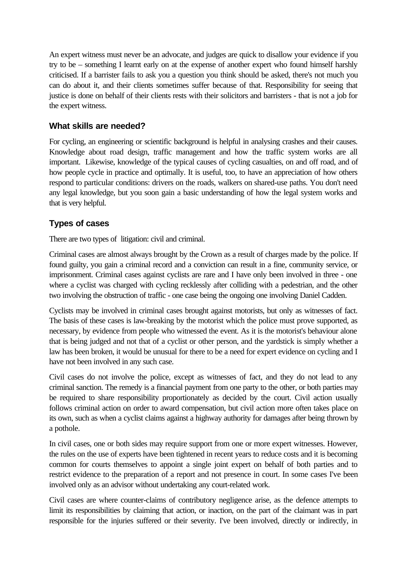An expert witness must never be an advocate, and judges are quick to disallow your evidence if you try to be – something I learnt early on at the expense of another expert who found himself harshly criticised. If a barrister fails to ask you a question you think should be asked, there's not much you can do about it, and their clients sometimes suffer because of that. Responsibility for seeing that justice is done on behalf of their clients rests with their solicitors and barristers - that is not a job for the expert witness.

#### **What skills are needed?**

For cycling, an engineering or scientific background is helpful in analysing crashes and their causes. Knowledge about road design, traffic management and how the traffic system works are all important. Likewise, knowledge of the typical causes of cycling casualties, on and off road, and of how people cycle in practice and optimally. It is useful, too, to have an appreciation of how others respond to particular conditions: drivers on the roads, walkers on shared-use paths. You don't need any legal knowledge, but you soon gain a basic understanding of how the legal system works and that is very helpful.

#### **Types of cases**

There are two types of litigation: civil and criminal.

Criminal cases are almost always brought by the Crown as a result of charges made by the police. If found guilty, you gain a criminal record and a conviction can result in a fine, community service, or imprisonment. Criminal cases against cyclists are rare and I have only been involved in three - one where a cyclist was charged with cycling recklessly after colliding with a pedestrian, and the other two involving the obstruction of traffic - one case being the ongoing one involving Daniel Cadden.

Cyclists may be involved in criminal cases brought against motorists, but only as witnesses of fact. The basis of these cases is law-breaking by the motorist which the police must prove supported, as necessary, by evidence from people who witnessed the event. As it is the motorist's behaviour alone that is being judged and not that of a cyclist or other person, and the yardstick is simply whether a law has been broken, it would be unusual for there to be a need for expert evidence on cycling and I have not been involved in any such case.

Civil cases do not involve the police, except as witnesses of fact, and they do not lead to any criminal sanction. The remedy is a financial payment from one party to the other, or both parties may be required to share responsibility proportionately as decided by the court. Civil action usually follows criminal action on order to award compensation, but civil action more often takes place on its own, such as when a cyclist claims against a highway authority for damages after being thrown by a pothole.

In civil cases, one or both sides may require support from one or more expert witnesses. However, the rules on the use of experts have been tightened in recent years to reduce costs and it is becoming common for courts themselves to appoint a single joint expert on behalf of both parties and to restrict evidence to the preparation of a report and not presence in court. In some cases I've been involved only as an advisor without undertaking any court-related work.

Civil cases are where counter-claims of contributory negligence arise, as the defence attempts to limit its responsibilities by claiming that action, or inaction, on the part of the claimant was in part responsible for the injuries suffered or their severity. I've been involved, directly or indirectly, in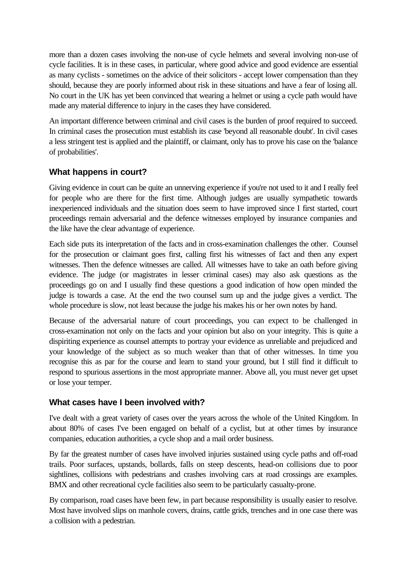more than a dozen cases involving the non-use of cycle helmets and several involving non-use of cycle facilities. It is in these cases, in particular, where good advice and good evidence are essential as many cyclists - sometimes on the advice of their solicitors - accept lower compensation than they should, because they are poorly informed about risk in these situations and have a fear of losing all. No court in the UK has yet been convinced that wearing a helmet or using a cycle path would have made any material difference to injury in the cases they have considered.

An important difference between criminal and civil cases is the burden of proof required to succeed. In criminal cases the prosecution must establish its case 'beyond all reasonable doubt'. In civil cases a less stringent test is applied and the plaintiff, or claimant, only has to prove his case on the 'balance of probabilities'.

## **What happens in court?**

Giving evidence in court can be quite an unnerving experience if you're not used to it and I really feel for people who are there for the first time. Although judges are usually sympathetic towards inexperienced individuals and the situation does seem to have improved since I first started, court proceedings remain adversarial and the defence witnesses employed by insurance companies and the like have the clear advantage of experience.

Each side puts its interpretation of the facts and in cross-examination challenges the other. Counsel for the prosecution or claimant goes first, calling first his witnesses of fact and then any expert witnesses. Then the defence witnesses are called. All witnesses have to take an oath before giving evidence. The judge (or magistrates in lesser criminal cases) may also ask questions as the proceedings go on and I usually find these questions a good indication of how open minded the judge is towards a case. At the end the two counsel sum up and the judge gives a verdict. The whole procedure is slow, not least because the judge his makes his or her own notes by hand.

Because of the adversarial nature of court proceedings, you can expect to be challenged in cross-examination not only on the facts and your opinion but also on your integrity. This is quite a dispiriting experience as counsel attempts to portray your evidence as unreliable and prejudiced and your knowledge of the subject as so much weaker than that of other witnesses. In time you recognise this as par for the course and learn to stand your ground, but I still find it difficult to respond to spurious assertions in the most appropriate manner. Above all, you must never get upset or lose your temper.

#### **What cases have I been involved with?**

I've dealt with a great variety of cases over the years across the whole of the United Kingdom. In about 80% of cases I've been engaged on behalf of a cyclist, but at other times by insurance companies, education authorities, a cycle shop and a mail order business.

By far the greatest number of cases have involved injuries sustained using cycle paths and off-road trails. Poor surfaces, upstands, bollards, falls on steep descents, head-on collisions due to poor sightlines, collisions with pedestrians and crashes involving cars at road crossings are examples. BMX and other recreational cycle facilities also seem to be particularly casualty-prone.

By comparison, road cases have been few, in part because responsibility is usually easier to resolve. Most have involved slips on manhole covers, drains, cattle grids, trenches and in one case there was a collision with a pedestrian.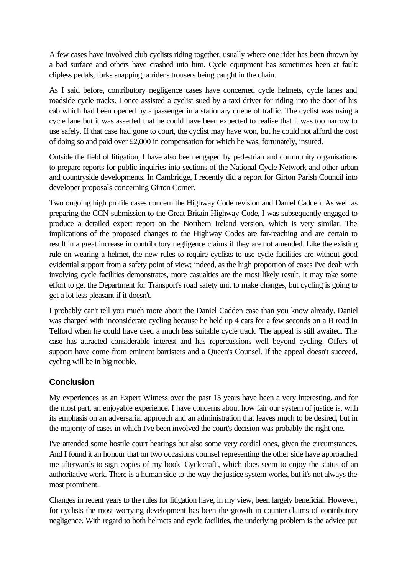A few cases have involved club cyclists riding together, usually where one rider has been thrown by a bad surface and others have crashed into him. Cycle equipment has sometimes been at fault: clipless pedals, forks snapping, a rider's trousers being caught in the chain.

As I said before, contributory negligence cases have concerned cycle helmets, cycle lanes and roadside cycle tracks. I once assisted a cyclist sued by a taxi driver for riding into the door of his cab which had been opened by a passenger in a stationary queue of traffic. The cyclist was using a cycle lane but it was asserted that he could have been expected to realise that it was too narrow to use safely. If that case had gone to court, the cyclist may have won, but he could not afford the cost of doing so and paid over £2,000 in compensation for which he was, fortunately, insured.

Outside the field of litigation, I have also been engaged by pedestrian and community organisations to prepare reports for public inquiries into sections of the National Cycle Network and other urban and countryside developments. In Cambridge, I recently did a report for Girton Parish Council into developer proposals concerning Girton Corner.

Two ongoing high profile cases concern the Highway Code revision and Daniel Cadden. As well as preparing the CCN submission to the Great Britain Highway Code, I was subsequently engaged to produce a detailed expert report on the Northern Ireland version, which is very similar. The implications of the proposed changes to the Highway Codes are far-reaching and are certain to result in a great increase in contributory negligence claims if they are not amended. Like the existing rule on wearing a helmet, the new rules to require cyclists to use cycle facilities are without good evidential support from a safety point of view; indeed, as the high proportion of cases I've dealt with involving cycle facilities demonstrates, more casualties are the most likely result. It may take some effort to get the Department for Transport's road safety unit to make changes, but cycling is going to get a lot less pleasant if it doesn't.

I probably can't tell you much more about the Daniel Cadden case than you know already. Daniel was charged with inconsiderate cycling because he held up 4 cars for a few seconds on a B road in Telford when he could have used a much less suitable cycle track. The appeal is still awaited. The case has attracted considerable interest and has repercussions well beyond cycling. Offers of support have come from eminent barristers and a Queen's Counsel. If the appeal doesn't succeed, cycling will be in big trouble.

# **Conclusion**

My experiences as an Expert Witness over the past 15 years have been a very interesting, and for the most part, an enjoyable experience. I have concerns about how fair our system of justice is, with its emphasis on an adversarial approach and an administration that leaves much to be desired, but in the majority of cases in which I've been involved the court's decision was probably the right one.

I've attended some hostile court hearings but also some very cordial ones, given the circumstances. And I found it an honour that on two occasions counsel representing the other side have approached me afterwards to sign copies of my book 'Cyclecraft', which does seem to enjoy the status of an authoritative work. There is a human side to the way the justice system works, but it's not always the most prominent.

Changes in recent years to the rules for litigation have, in my view, been largely beneficial. However, for cyclists the most worrying development has been the growth in counter-claims of contributory negligence. With regard to both helmets and cycle facilities, the underlying problem is the advice put